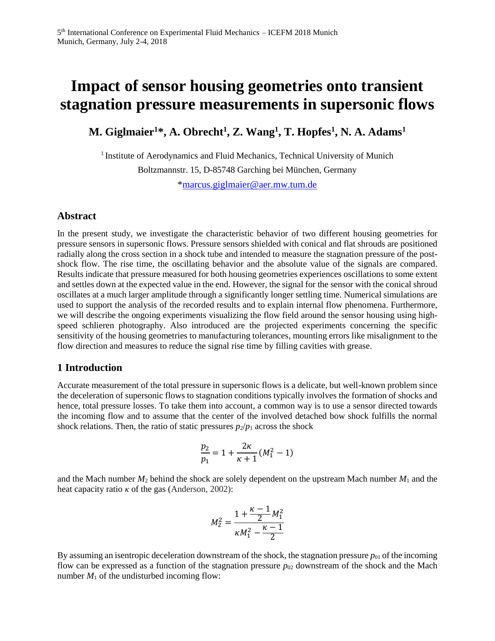# **Impact of sensor housing geometries onto transient stagnation pressure measurements in supersonic flows**

**M. Giglmaier<sup>1</sup>\*, A. Obrecht<sup>1</sup> , Z. Wang<sup>1</sup> , T. Hopfes<sup>1</sup> , N. A. Adams<sup>1</sup>**

<sup>1</sup> Institute of Aerodynamics and Fluid Mechanics, Technical University of Munich Boltzmannstr. 15, D-85748 Garching bei München, Germany [\\*marcus.giglmaier@aer.mw.tum.de](mailto:marcus.giglmaier@aer.mw.tum.de)

### **Abstract**

In the present study, we investigate the characteristic behavior of two different housing geometries for pressure sensors in supersonic flows. Pressure sensors shielded with conical and flat shrouds are positioned radially along the cross section in a shock tube and intended to measure the stagnation pressure of the postshock flow. The rise time, the oscillating behavior and the absolute value of the signals are compared. Results indicate that pressure measured for both housing geometries experiences oscillations to some extent and settles down at the expected value in the end. However, the signal for the sensor with the conical shroud oscillates at a much larger amplitude through a significantly longer settling time. Numerical simulations are used to support the analysis of the recorded results and to explain internal flow phenomena. Furthermore, we will describe the ongoing experiments visualizing the flow field around the sensor housing using highspeed schlieren photography. Also introduced are the projected experiments concerning the specific sensitivity of the housing geometries to manufacturing tolerances, mounting errors like misalignment to the flow direction and measures to reduce the signal rise time by filling cavities with grease.

### **1 Introduction**

Accurate measurement of the total pressure in supersonic flows is a delicate, but well-known problem since the deceleration of supersonic flows to stagnation conditions typically involves the formation of shocks and hence, total pressure losses. To take them into account, a common way is to use a sensor directed towards the incoming flow and to assume that the center of the involved detached bow shock fulfills the normal shock relations. Then, the ratio of static pressures  $p_2/p_1$  across the shock

$$
\frac{p_2}{p_1} = 1 + \frac{2\kappa}{\kappa + 1} (M_1^2 - 1)
$$

and the Mach number  $M_2$  behind the shock are solely dependent on the upstream Mach number  $M_1$  and the heat capacity ratio *κ* of the gas (Anderson, 2002):

$$
M_2^2 = \frac{1+\frac{\kappa-1}{2}M_1^2}{\kappa M_1^2-\frac{\kappa-1}{2}}
$$

By assuming an isentropic deceleration downstream of the shock, the stagnation pressure  $p_{01}$  of the incoming flow can be expressed as a function of the stagnation pressure  $p_{02}$  downstream of the shock and the Mach number  $M_1$  of the undisturbed incoming flow: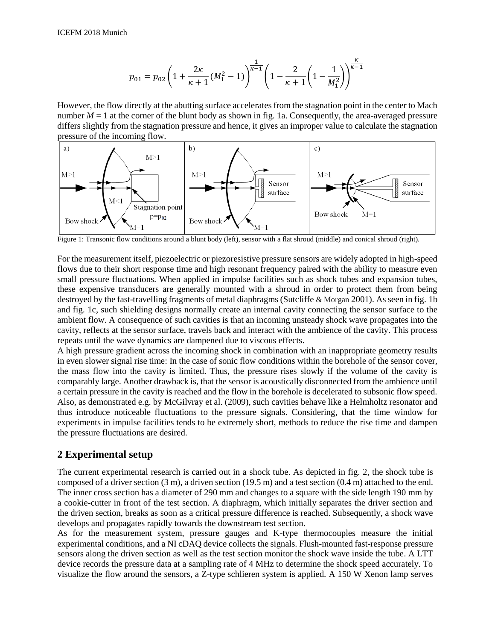$$
p_{01} = p_{02} \left( 1 + \frac{2\kappa}{\kappa + 1} (M_1^2 - 1) \right)^{\frac{1}{\kappa - 1}} \left( 1 - \frac{2}{\kappa + 1} \left( 1 - \frac{1}{M_1^2} \right) \right)^{\frac{\kappa}{\kappa - 1}}
$$

However, the flow directly at the abutting surface accelerates from the stagnation point in the center to Mach number  $M = 1$  at the corner of the blunt body as shown in fig. 1a. Consequently, the area-averaged pressure differs slightly from the stagnation pressure and hence, it gives an improper value to calculate the stagnation pressure of the incoming flow.



Figure 1: Transonic flow conditions around a blunt body (left), sensor with a flat shroud (middle) and conical shroud (right).

For the measurement itself, piezoelectric or piezoresistive pressure sensors are widely adopted in high-speed flows due to their short response time and high resonant frequency paired with the ability to measure even small pressure fluctuations. When applied in impulse facilities such as shock tubes and expansion tubes, these expensive transducers are generally mounted with a shroud in order to protect them from being destroyed by the fast-travelling fragments of metal diaphragms (Sutcliffe & Morgan 2001). As seen in fig. 1b and fig. 1c, such shielding designs normally create an internal cavity connecting the sensor surface to the ambient flow. A consequence of such cavities is that an incoming unsteady shock wave propagates into the cavity, reflects at the sensor surface, travels back and interact with the ambience of the cavity. This process repeats until the wave dynamics are dampened due to viscous effects.

A high pressure gradient across the incoming shock in combination with an inappropriate geometry results in even slower signal rise time: In the case of sonic flow conditions within the borehole of the sensor cover, the mass flow into the cavity is limited. Thus, the pressure rises slowly if the volume of the cavity is comparably large. Another drawback is, that the sensor is acoustically disconnected from the ambience until a certain pressure in the cavity is reached and the flow in the borehole is decelerated to subsonic flow speed. Also, as demonstrated e.g. by McGilvray et al. (2009), such cavities behave like a Helmholtz resonator and thus introduce noticeable fluctuations to the pressure signals. Considering, that the time window for experiments in impulse facilities tends to be extremely short, methods to reduce the rise time and dampen the pressure fluctuations are desired.

# **2 Experimental setup**

The current experimental research is carried out in a shock tube. As depicted in fig. 2, the shock tube is composed of a driver section (3 m), a driven section (19.5 m) and a test section (0.4 m) attached to the end. The inner cross section has a diameter of 290 mm and changes to a square with the side length 190 mm by a cookie-cutter in front of the test section. A diaphragm, which initially separates the driver section and the driven section, breaks as soon as a critical pressure difference is reached. Subsequently, a shock wave develops and propagates rapidly towards the downstream test section.

As for the measurement system, pressure gauges and K-type thermocouples measure the initial experimental conditions, and a NI cDAQ device collects the signals. Flush-mounted fast-response pressure sensors along the driven section as well as the test section monitor the shock wave inside the tube. A LTT device records the pressure data at a sampling rate of 4 MHz to determine the shock speed accurately. To visualize the flow around the sensors, a Z-type schlieren system is applied. A 150 W Xenon lamp serves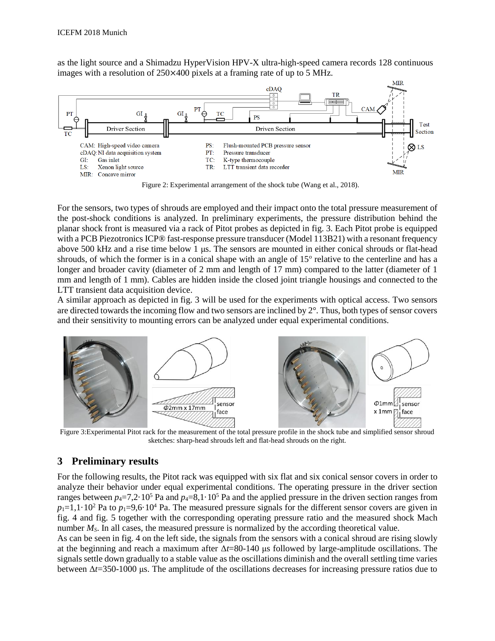as the light source and a Shimadzu HyperVision HPV-X ultra-high-speed camera records 128 continuous images with a resolution of 250×400 pixels at a framing rate of up to 5 MHz.



Figure 2: Experimental arrangement of the shock tube (Wang et al., 2018).

For the sensors, two types of shrouds are employed and their impact onto the total pressure measurement of the post-shock conditions is analyzed. In preliminary experiments, the pressure distribution behind the planar shock front is measured via a rack of Pitot probes as depicted in fig. 3. Each Pitot probe is equipped with a PCB Piezotronics ICP® fast-response pressure transducer (Model 113B21) with a resonant frequency above 500 kHz and a rise time below 1 μs. The sensors are mounted in either conical shrouds or flat-head shrouds, of which the former is in a conical shape with an angle of 15° relative to the centerline and has a longer and broader cavity (diameter of 2 mm and length of 17 mm) compared to the latter (diameter of 1 mm and length of 1 mm). Cables are hidden inside the closed joint triangle housings and connected to the LTT transient data acquisition device.

A similar approach as depicted in fig. 3 will be used for the experiments with optical access. Two sensors are directed towards the incoming flow and two sensors are inclined by 2°. Thus, both types of sensor covers and their sensitivity to mounting errors can be analyzed under equal experimental conditions.



Figure 3:Experimental Pitot rack for the measurement of the total pressure profile in the shock tube and simplified sensor shroud sketches: sharp-head shrouds left and flat-head shrouds on the right.

### **3 Preliminary results**

For the following results, the Pitot rack was equipped with six flat and six conical sensor covers in order to analyze their behavior under equal experimental conditions. The operating pressure in the driver section ranges between  $p_4 = 7.2 \cdot 10^5$  Pa and  $p_4 = 8.1 \cdot 10^5$  Pa and the applied pressure in the driven section ranges from  $p_1=1,1\cdot 10^2$  Pa to  $p_1=9,6\cdot 10^4$  Pa. The measured pressure signals for the different sensor covers are given in fig. 4 and fig. 5 together with the corresponding operating pressure ratio and the measured shock Mach number *M<sub>S</sub>*. In all cases, the measured pressure is normalized by the according theoretical value.

As can be seen in fig. 4 on the left side, the signals from the sensors with a conical shroud are rising slowly at the beginning and reach a maximum after Δ*t*=80-140 μs followed by large-amplitude oscillations. The signals settle down gradually to a stable value as the oscillations diminish and the overall settling time varies between Δ*t*=350-1000 μs. The amplitude of the oscillations decreases for increasing pressure ratios due to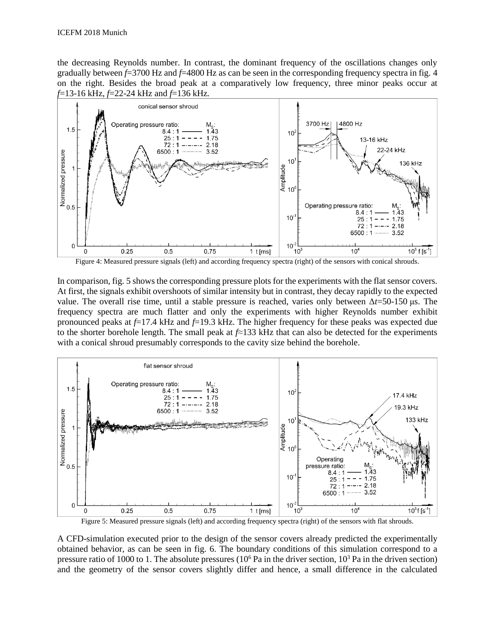the decreasing Reynolds number. In contrast, the dominant frequency of the oscillations changes only gradually between *f*=3700 Hz and *f*=4800 Hz as can be seen in the corresponding frequency spectra in fig. 4 on the right. Besides the broad peak at a comparatively low frequency, three minor peaks occur at *f*=13-16 kHz, *f*=22-24 kHz and *f*=136 kHz*.*



Figure 4: Measured pressure signals (left) and according frequency spectra (right) of the sensors with conical shrouds.

In comparison, fig. 5 shows the corresponding pressure plots for the experiments with the flat sensor covers. At first, the signals exhibit overshoots of similar intensity but in contrast, they decay rapidly to the expected value. The overall rise time, until a stable pressure is reached, varies only between Δ*t*=50-150 μs. The frequency spectra are much flatter and only the experiments with higher Reynolds number exhibit pronounced peaks at *f*=17.4 kHz and *f*=19.3 kHz. The higher frequency for these peaks was expected due to the shorter borehole length. The small peak at *f*≈133 kHz that can also be detected for the experiments with a conical shroud presumably corresponds to the cavity size behind the borehole.



Figure 5: Measured pressure signals (left) and according frequency spectra (right) of the sensors with flat shrouds.

A CFD-simulation executed prior to the design of the sensor covers already predicted the experimentally obtained behavior, as can be seen in fig. 6. The boundary conditions of this simulation correspond to a pressure ratio of 1000 to 1. The absolute pressures  $(10<sup>6</sup>$  Pa in the driver section,  $10<sup>3</sup>$  Pa in the driven section) and the geometry of the sensor covers slightly differ and hence, a small difference in the calculated